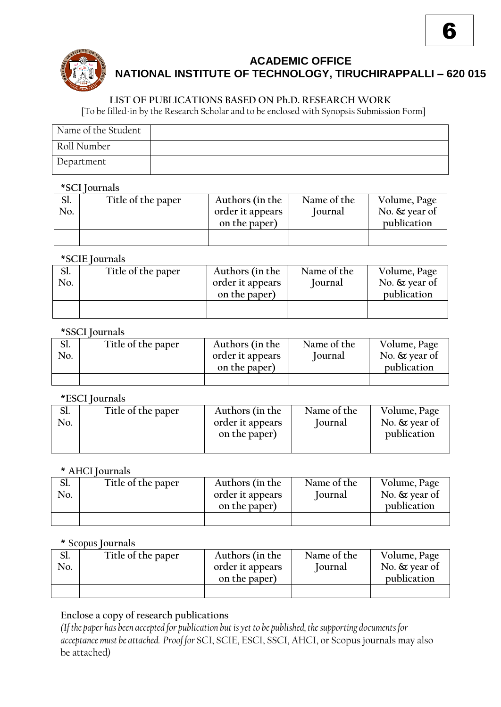

# **ACADEMIC OFFICE NATIONAL INSTITUTE OF TECHNOLOGY, TIRUCHIRAPPALLI – 620 015**

6

## **LIST OF PUBLICATIONS BASED ON Ph.D. RESEARCH WORK**

[To be filled-in by the Research Scholar and to be enclosed with Synopsis Submission Form]

| Name of the Student |  |
|---------------------|--|
| Roll Number         |  |
| Department          |  |

#### **\*SCI Journals**

| Sl. | Title of the paper | Authors (in the  | Name of the   | Volume, Page     |
|-----|--------------------|------------------|---------------|------------------|
| No. |                    | order it appears | <b>ournal</b> | No. $\&$ year of |
|     |                    | on the paper)    |               | publication      |
|     |                    |                  |               |                  |
|     |                    |                  |               |                  |

## **\*SCIE Journals**

| Ы.<br>No. | Title of the paper | Authors (in the<br>order it appears<br>on the paper) | Name of the<br>Journal | Volume, Page<br>No. $\&$ year of<br>publication |
|-----------|--------------------|------------------------------------------------------|------------------------|-------------------------------------------------|
|           |                    |                                                      |                        |                                                 |

#### **\*SSCI Journals**

| אס.<br>No. | Title of the paper | Authors (in the<br>order it appears<br>on the paper) | Name of the<br><b>lournal</b> | Volume, Page<br>No. $\&$ year of<br>publication |
|------------|--------------------|------------------------------------------------------|-------------------------------|-------------------------------------------------|
|            |                    |                                                      |                               |                                                 |

## **\*ESCI Journals**

| Ы.  | Title of the paper | Authors (in the                   | Name of the   | Volume, Page                    |
|-----|--------------------|-----------------------------------|---------------|---------------------------------|
| No. |                    | order it appears<br>on the paper) | <b>ournal</b> | No. $\&$ year of<br>publication |
|     |                    |                                   |               |                                 |
|     |                    |                                   |               |                                 |

#### **\*** AHCI **Journals**

| Ы.<br>No. | Title of the paper | Authors (in the<br>order it appears<br>on the paper) | Name of the<br>Journal | Volume, Page<br>No. $\&$ year of<br>publication |
|-----------|--------------------|------------------------------------------------------|------------------------|-------------------------------------------------|
|           |                    |                                                      |                        |                                                 |

## **\*** Scopus **Journals**

| Ы.  | Title of the paper | Authors (in the  | Name of the | Volume, Page     |
|-----|--------------------|------------------|-------------|------------------|
| No. |                    | order it appears | Journal     | No. $\&$ year of |
|     |                    | on the paper)    |             | publication      |
|     |                    |                  |             |                  |

## **Enclose a copy of research publications**

*(If the paper has been accepted for publication but is yet to be published, the supporting documents for acceptance must be attached. Proof for* SCI, SCIE, ESCI, SSCI, AHCI, or Scopus journals may also be attached*)*